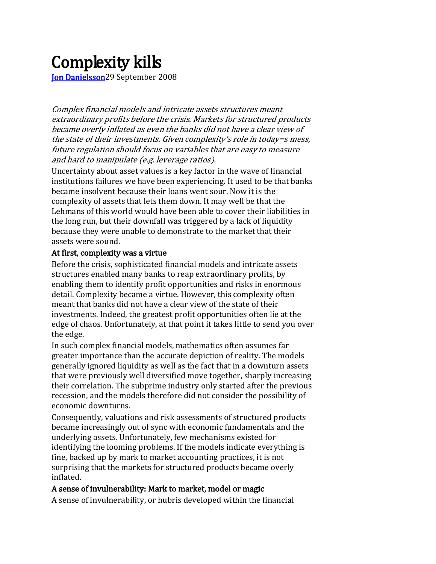## Complexity kills<br>Jon Danielsson<sup>29</sup> September 2008

Complex financial models and intricate assets structures meant extraordinary profits before the crisis. Markets for structured products became overly inflated as even the banks did not have a clear view of the state of their investments. Given complexity's role in today*=*s mess, future regulation should focus on variables that are easy to measure and hard to manipulate (e.g. leverage ratios).

Uncertainty about asset values is a key factor in the wave of financial institutions failures we have been experiencing. It used to be that banks became insolvent because their loans went sour. Now it is the complexity of assets that lets them down. It may well be that the Lehmans of this world would have been able to cover their liabilities in the long run, but their downfall was triggered by a lack of liquidity because they were unable to demonstrate to the market that their assets were sound.

## At first, complexity was a virtue

Before the crisis, sophisticated financial models and intricate assets structures enabled many banks to reap extraordinary profits, by enabling them to identify profit opportunities and risks in enormous detail. Complexity became a virtue. However, this complexity often meant that banks did not have a clear view of the state of their investments. Indeed, the greatest profit opportunities often lie at the edge of chaos. Unfortunately, at that point it takes little to send you over the edge.

In such complex financial models, mathematics often assumes far greater importance than the accurate depiction of reality. The models generally ignored liquidity as well as the fact that in a downturn assets that were previously well diversified move together, sharply increasing their correlation. The subprime industry only started after the previous recession, and the models therefore did not consider the possibility of economic downturns.

Consequently, valuations and risk assessments of structured products became increasingly out of sync with economic fundamentals and the underlying assets. Unfortunately, few mechanisms existed for identifying the looming problems. If the models indicate everything is fine, backed up by mark to market accounting practices, it is not surprising that the markets for structured products became overly inflated.

## A sense of invulnerability: Mark to market, model or magic

A sense of invulnerability, or hubris developed within the financial